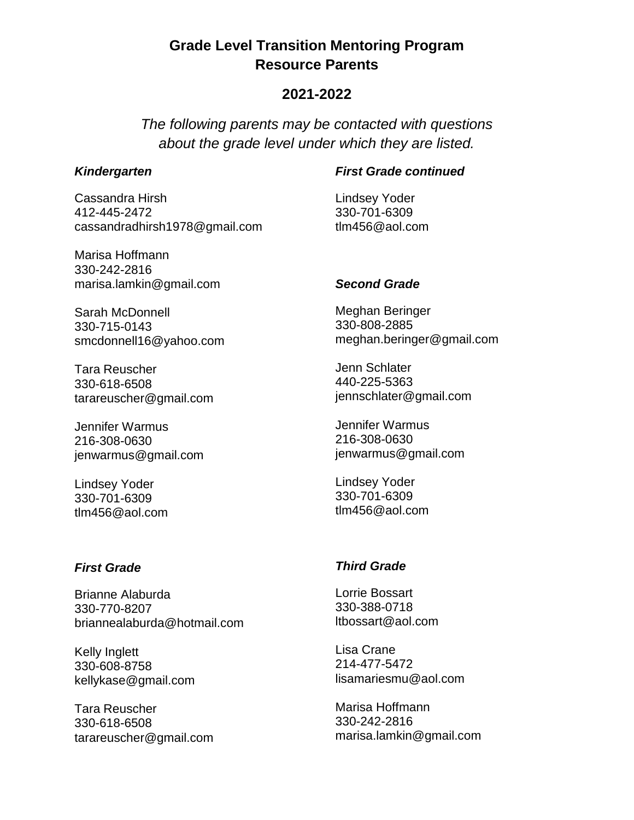# **Grade Level Transition Mentoring Program Resource Parents**

## **2021-2022**

*The following parents may be contacted with questions about the grade level under which they are listed.* 

### *Kindergarten*

Cassandra Hirsh 412-445-2472 cassandradhirsh1978@gmail.com

Marisa Hoffmann 330-242-2816 marisa.lamkin@gmail.com

Sarah McDonnell 330-715-0143 smcdonnell16@yahoo.com

Tara Reuscher 330-618-6508 tarareuscher@gmail.com

Jennifer Warmus 216-308-0630 jenwarmus@gmail.com

Lindsey Yoder 330-701-6309 tlm456@aol.com

## *First Grade*

Brianne Alaburda 330-770-8207 briannealaburda@hotmail.com

Kelly Inglett 330-608-8758 kellykase@gmail.com

Tara Reuscher 330-618-6508 tarareuscher@gmail.com

## *First Grade continued*

Lindsey Yoder 330-701-6309 tlm456@aol.com

## *Second Grade*

Meghan Beringer 330-808-2885 meghan.beringer@gmail.com

Jenn Schlater 440-225-5363 jennschlater@gmail.com

Jennifer Warmus 216-308-0630 jenwarmus@gmail.com

Lindsey Yoder 330-701-6309 tlm456@aol.com

## *Third Grade*

Lorrie Bossart 330-388-0718 ltbossart@aol.com

Lisa Crane 214-477-5472 lisamariesmu@aol.com

Marisa Hoffmann 330-242-2816 marisa.lamkin@gmail.com